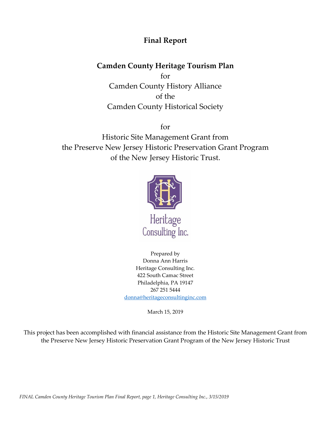# **Final Report**

# **Camden County Heritage Tourism Plan**

for Camden County History Alliance of the Camden County Historical Society

for

Historic Site Management Grant from the Preserve New Jersey Historic Preservation Grant Program of the New Jersey Historic Trust.



Prepared by Donna Ann Harris Heritage Consulting Inc. 422 South Camac Street Philadelphia, PA 19147 267 251 5444 [donna@heritageconsultinginc.com](mailto:donna@heritageconsultinginc.com)

March 15, 2019

This project has been accomplished with financial assistance from the Historic Site Management Grant from the Preserve New Jersey Historic Preservation Grant Program of the New Jersey Historic Trust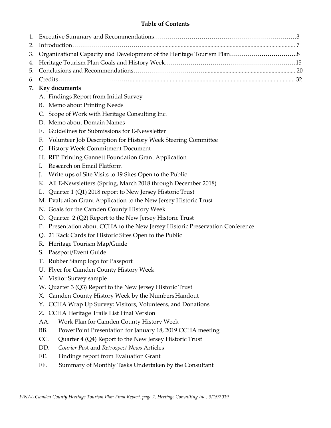## **Table of Contents**

| 7. Key documents |  |
|------------------|--|

- A. Findings Report from Initial Survey
- B. Memo about Printing Needs
- C. Scope of Work with Heritage Consulting Inc.
- D. Memo about Domain Names
- E. Guidelines for Submissions for E-Newsletter
- F. Volunteer Job Description for History Week Steering Committee
- G. History Week Commitment Document
- H. RFP Printing Gannett Foundation Grant Application
- I. Research on Email Platform
- J. Write ups of Site Visits to 19 Sites Open to the Public
- K. All E-Newsletters (Spring, March 2018 through December 2018)
- L. Quarter 1 (Q1) 2018 report to New Jersey Historic Trust
- M. Evaluation Grant Application to the New Jersey Historic Trust
- N. Goals for the Camden County History Week
- O. Quarter 2 (Q2) Report to the New Jersey Historic Trust
- P. Presentation about CCHA to the New Jersey Historic Preservation Conference
- Q. 21 Rack Cards for Historic Sites Open to the Public
- R. Heritage Tourism Map/Guide
- S. Passport/Event Guide
- T. Rubber Stamp logo for Passport
- U. Flyer for Camden County History Week
- V. Visitor Survey sample
- W. Quarter 3 (Q3) Report to the New Jersey Historic Trust
- X. Camden County History Week by the Numbers Handout
- Y. CCHA Wrap Up Survey: Visitors, Volunteers, and Donations
- Z. CCHA Heritage Trails List Final Version
- AA. Work Plan for Camden County History Week
- BB. PowerPoint Presentation for January 18, 2019 CCHA meeting
- CC. Quarter 4 (Q4) Report to the New Jersey Historic Trust
- DD. *Courier Pos*t and *Retrospect News* Articles
- EE. Findings report from Evaluation Grant
- FF. Summary of Monthly Tasks Undertaken by the Consultant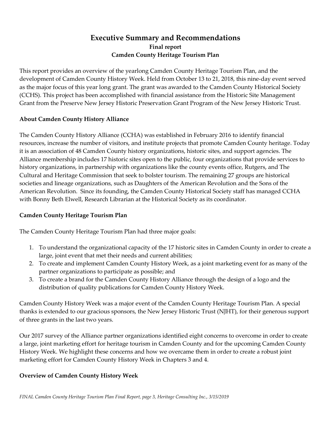## **Executive Summary and Recommendations Final report Camden County Heritage Tourism Plan**

This report provides an overview of the yearlong Camden County Heritage Tourism Plan, and the development of Camden County History Week. Held from October 13 to 21, 2018, this nine-day event served as the major focus of this year long grant. The grant was awarded to the Camden County Historical Society (CCHS). This project has been accomplished with financial assistance from the Historic Site Management Grant from the Preserve New Jersey Historic Preservation Grant Program of the New Jersey Historic Trust.

#### **About Camden County History Alliance**

The Camden County History Alliance (CCHA) was established in February 2016 to identify financial resources, increase the number of visitors, and institute projects that promote Camden County heritage. Today it is an association of 48 Camden County history organizations, historic sites, and support agencies. The Alliance membership includes 17 historic sites open to the public, four organizations that provide services to history organizations, in partnership with organizations like the county events office, Rutgers, and The Cultural and Heritage Commission that seek to bolster tourism. The remaining 27 groups are historical societies and lineage organizations, such as Daughters of the American Revolution and the Sons of the American Revolution. Since its founding, the Camden County Historical Society staff has managed CCHA with Bonny Beth Elwell, Research Librarian at the Historical Society as its coordinator.

## **Camden County Heritage Tourism Plan**

The Camden County Heritage Tourism Plan had three major goals:

- 1. To understand the organizational capacity of the 17 historic sites in Camden County in order to create a large, joint event that met their needs and current abilities;
- 2. To create and implement Camden County History Week, as a joint marketing event for as many of the partner organizations to participate as possible; and
- 3. To create a brand for the Camden County History Alliance through the design of a logo and the distribution of quality publications for Camden County History Week.

Camden County History Week was a major event of the Camden County Heritage Tourism Plan. A special thanks is extended to our gracious sponsors, the New Jersey Historic Trust (NJHT), for their generous support of three grants in the last two years.

Our 2017 survey of the Alliance partner organizations identified eight concerns to overcome in order to create a large, joint marketing effort for heritage tourism in Camden County and for the upcoming Camden County History Week. We highlight these concerns and how we overcame them in order to create a robust joint marketing effort for Camden County History Week in Chapters 3 and 4.

## **Overview of Camden County History Week**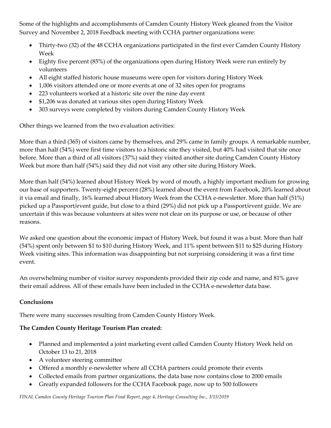Some of the highlights and accomplishments of Camden County History Week gleaned from the Visitor Survey and November 2, 2018 Feedback meeting with CCHA partner organizations were:

- Thirty-two (32) of the 48 CCHA organizations participated in the first ever Camden County History Week
- Eighty five percent (85%) of the organizations open during History Week were run entirely by volunteers
- All eight staffed historic house museums were open for visitors during History Week
- 1,006 visitors attended one or more events at one of 32 sites open for programs
- 223 volunteers worked at a historic site over the nine day event
- \$1,206 was donated at various sites open during History Week
- 303 surveys were completed by visitors during Camden County History Week

Other things we learned from the two evaluation activities:

More than a third (365) of visitors came by themselves, and 29% came in family groups. A remarkable number, more than half (54%) were first time visitors to a historic site they visited, but 40% had visited that site once before. More than a third of all visitors (37%) said they visited another site during Camden County History Week but more than half (54%) said they did not visit any other site during History Week.

More than half (54%) learned about History Week by word of mouth, a highly important medium for growing our base of supporters. Twenty-eight percent (28%) learned about the event from Facebook, 20% learned about it via email and finally, 16% learned about History Week from the CCHA e-newsletter. More than half (51%) picked up a Passport/event guide, but close to a third (29%) did not pick up a Passport/event guide. We are uncertain if this was because volunteers at sites were not clear on its purpose or use, or because of other reasons.

We asked one question about the economic impact of History Week, but found it was a bust. More than half (54%) spent only between \$1 to \$10 during History Week, and 11% spent between \$11 to \$25 during History Week visiting sites. This information was disappointing but not surprising considering it was a first time event.

An overwhelming number of visitor survey respondents provided their zip code and name, and 81% gave their email address. All of these emails have been included in the CCHA e-newsletter data base.

## **Conclusions**

There were many successes resulting from Camden County History Week.

## **The Camden County Heritage Tourism Plan created:**

- Planned and implemented a joint marketing event called Camden County History Week held on October 13 to 21, 2018
- A volunteer steering committee
- Offered a monthly e-newsletter where all CCHA partners could promote their events
- Collected emails from partner organizations, the data base now contains close to 2000 emails
- Greatly expanded followers for the CCHA Facebook page, now up to 500 followers

*FINAL Camden County Heritage Tourism Plan Final Report, page 4, Heritage Consulting Inc., 3/15/2019*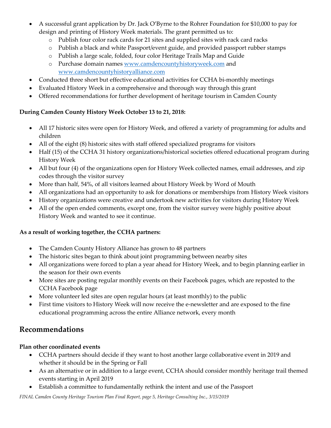- A successful grant application by Dr. Jack O'Byrne to the Rohrer Foundation for \$10,000 to pay for design and printing of History Week materials. The grant permitted us to:
	- o Publish four color rack cards for 21 sites and supplied sites with rack card racks
	- o Publish a black and white Passport/event guide, and provided passport rubber stamps
	- o Publish a large scale, folded, four color Heritage Trails Map and Guide
	- o Purchase domain name[s www.camdencountyhistoryweek.com](http://www.camdencountyhistoryweek.com/) and [www.camdencountyhistoryalliance.com](http://www.camdencountyhistoryalliance.com/)
- Conducted three short but effective educational activities for CCHA bi-monthly meetings
- Evaluated History Week in a comprehensive and thorough way through this grant
- Offered recommendations for further development of heritage tourism in Camden County

## **During Camden County History Week October 13 to 21, 2018:**

- All 17 historic sites were open for History Week, and offered a variety of programming for adults and children
- All of the eight (8) historic sites with staff offered specialized programs for visitors
- Half (15) of the CCHA 31 history organizations/historical societies offered educational program during History Week
- All but four (4) of the organizations open for History Week collected names, email addresses, and zip codes through the visitor survey
- More than half, 54%, of all visitors learned about History Week by Word of Mouth
- All organizations had an opportunity to ask for donations or memberships from History Week visitors
- History organizations were creative and undertook new activities for visitors during History Week
- All of the open ended comments, except one, from the visitor survey were highly positive about History Week and wanted to see it continue.

## **As a result of working together, the CCHA partners:**

- The Camden County History Alliance has grown to 48 partners
- The historic sites began to think about joint programming between nearby sites
- All organizations were forced to plan a year ahead for History Week, and to begin planning earlier in the season for their own events
- More sites are posting regular monthly events on their Facebook pages, which are reposted to the CCHA Facebook page
- More volunteer led sites are open regular hours (at least monthly) to the public
- First time visitors to History Week will now receive the e-newsletter and are exposed to the fine educational programming across the entire Alliance network, every month

# **Recommendations**

# **Plan other coordinated events**

- CCHA partners should decide if they want to host another large collaborative event in 2019 and whether it should be in the Spring or Fall
- As an alternative or in addition to a large event, CCHA should consider monthly heritage trail themed events starting in April 2019
- Establish a committee to fundamentally rethink the intent and use of the Passport

*FINAL Camden County Heritage Tourism Plan Final Report, page 5, Heritage Consulting Inc., 3/15/2019*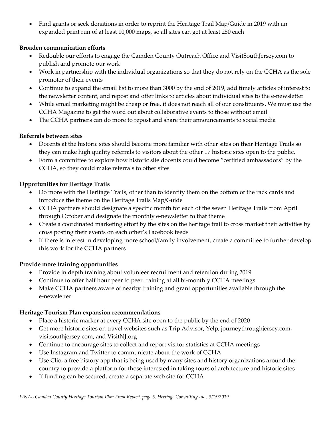• Find grants or seek donations in order to reprint the Heritage Trail Map/Guide in 2019 with an expanded print run of at least 10,000 maps, so all sites can get at least 250 each

## **Broaden communication efforts**

- Redouble our efforts to engage the Camden County Outreach Office and VisitSouthJersey.com to publish and promote our work
- Work in partnership with the individual organizations so that they do not rely on the CCHA as the sole promoter of their events
- Continue to expand the email list to more than 3000 by the end of 2019, add timely articles of interest to the newsletter content, and repost and offer links to articles about individual sites to the e-newsletter
- While email marketing might be cheap or free, it does not reach all of our constituents. We must use the CCHA Magazine to get the word out about collaborative events to those without email
- The CCHA partners can do more to repost and share their announcements to social media

## **Referrals between sites**

- Docents at the historic sites should become more familiar with other sites on their Heritage Trails so they can make high quality referrals to visitors about the other 17 historic sites open to the public.
- Form a committee to explore how historic site docents could become "certified ambassadors" by the CCHA, so they could make referrals to other sites

## **Opportunities for Heritage Trails**

- Do more with the Heritage Trails, other than to identify them on the bottom of the rack cards and introduce the theme on the Heritage Trails Map/Guide
- CCHA partners should designate a specific month for each of the seven Heritage Trails from April through October and designate the monthly e-newsletter to that theme
- Create a coordinated marketing effort by the sites on the heritage trail to cross market their activities by cross posting their events on each other's Facebook feeds
- If there is interest in developing more school/family involvement, create a committee to further develop this work for the CCHA partners

## **Provide more training opportunities**

- Provide in depth training about volunteer recruitment and retention during 2019
- Continue to offer half hour peer to peer training at all bi-monthly CCHA meetings
- Make CCHA partners aware of nearby training and grant opportunities available through the e-newsletter

## **Heritage Tourism Plan expansion recommendations**

- Place a historic marker at every CCHA site open to the public by the end of 2020
- Get more historic sites on travel websites such as Trip Advisor, Yelp, journeythroughjersey.com, visitsouthjersey.com, and VisitNJ.org
- Continue to encourage sites to collect and report visitor statistics at CCHA meetings
- Use Instagram and Twitter to communicate about the work of CCHA
- Use Clio, a free history app that is being used by many sites and history organizations around the country to provide a platform for those interested in taking tours of architecture and historic sites
- If funding can be secured, create a separate web site for CCHA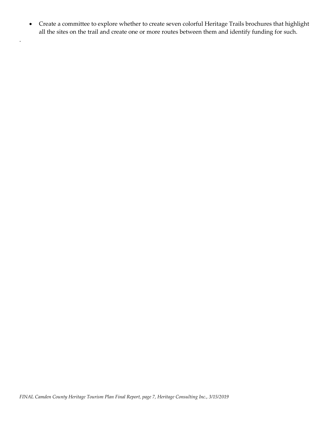• Create a committee to explore whether to create seven colorful Heritage Trails brochures that highlight all the sites on the trail and create one or more routes between them and identify funding for such.

.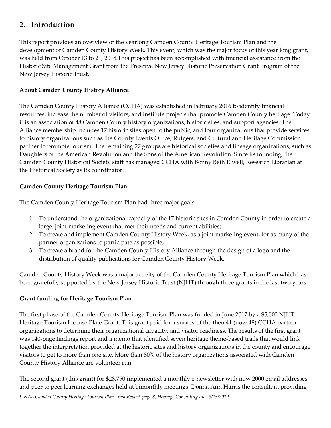# **2. Introduction**

This report provides an overview of the yearlong Camden County Heritage Tourism Plan and the development of Camden County History Week. This event, which was the major focus of this year long grant, was held from October 13 to 21, 2018.This project has been accomplished with financial assistance from the Historic Site Management Grant from the Preserve New Jersey Historic Preservation Grant Program of the New Jersey Historic Trust.

## **About Camden County History Alliance**

The Camden County History Alliance (CCHA) was established in February 2016 to identify financial resources, increase the number of visitors, and institute projects that promote Camden County heritage. Today it is an association of 48 Camden County history organizations, historic sites, and support agencies. The Alliance membership includes 17 historic sites open to the public, and four organizations that provide services to history organizations such as the County Events Office, Rutgers, and Cultural and Heritage Commission partner to promote tourism. The remaining 27 groups are historical societies and lineage organizations, such as Daughters of the American Revolution and the Sons of the American Revolution. Since its founding, the Camden County Historical Society staff has managed CCHA with Bonny Beth Elwell, Research Librarian at the Historical Society as its coordinator.

## **Camden County Heritage Tourism Plan**

The Camden County Heritage Tourism Plan had three major goals:

- 1. To understand the organizational capacity of the 17 historic sites in Camden County in order to create a large, joint marketing event that met their needs and current abilities;
- 2. To create and implement Camden County History Week, as a joint marketing event, for as many of the partner organizations to participate as possible;
- 3. To create a brand for the Camden County History Alliance through the design of a logo and the distribution of quality publications for Camden County History Week.

Camden County History Week was a major activity of the Camden County Heritage Tourism Plan which has been gratefully supported by the New Jersey Historic Trust (NJHT) through three grants in the last two years.

## **Grant funding for Heritage Tourism Plan**

The first phase of the Camden County Heritage Tourism Plan was funded in June 2017 by a \$5,000 NJHT Heritage Tourism License Plate Grant. This grant paid for a survey of the then 41 (now 48) CCHA partner organizations to determine their organizational capacity, and visitor readiness. The results of the first grant was 140-page findings report and a memo that identified seven heritage theme-based trails that would link together the interpretation provided at the historic sites and history organizations in the county and encourage visitors to get to more than one site. More than 80% of the history organizations associated with Camden County History Alliance are volunteer run.

The second grant (this grant) for \$28,750 implemented a monthly e-newsletter with now 2000 email addresses, and peer to peer learning exchanges held at bimonthly meetings. Donna Ann Harris the consultant providing

*FINAL Camden County Heritage Tourism Plan Final Report, page 8, Heritage Consulting Inc., 3/15/2019*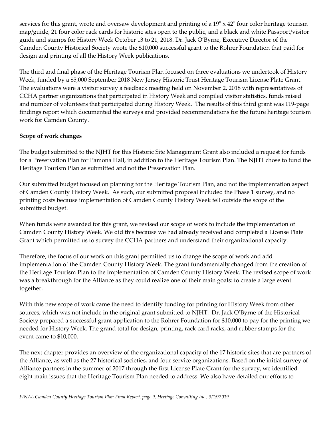services for this grant, wrote and oversaw development and printing of a 19" x 42" four color heritage tourism map/guide, 21 four color rack cards for historic sites open to the public, and a black and white Passport/visitor guide and stamps for History Week October 13 to 21, 2018. Dr. Jack O'Byrne, Executive Director of the Camden County Historical Society wrote the \$10,000 successful grant to the Rohrer Foundation that paid for design and printing of all the History Week publications.

The third and final phase of the Heritage Tourism Plan focused on three evaluations we undertook of History Week, funded by a \$5,000 September 2018 New Jersey Historic Trust Heritage Tourism License Plate Grant. The evaluations were a visitor survey a feedback meeting held on November 2, 2018 with representatives of CCHA partner organizations that participated in History Week and compiled visitor statistics, funds raised and number of volunteers that participated during History Week. The results of this third grant was 119-page findings report which documented the surveys and provided recommendations for the future heritage tourism work for Camden County.

#### **Scope of work changes**

The budget submitted to the NJHT for this Historic Site Management Grant also included a request for funds for a Preservation Plan for Pamona Hall, in addition to the Heritage Tourism Plan. The NJHT chose to fund the Heritage Tourism Plan as submitted and not the Preservation Plan.

Our submitted budget focused on planning for the Heritage Tourism Plan, and not the implementation aspect of Camden County History Week. As such, our submitted proposal included the Phase 1 survey, and no printing costs because implementation of Camden County History Week fell outside the scope of the submitted budget.

When funds were awarded for this grant, we revised our scope of work to include the implementation of Camden County History Week. We did this because we had already received and completed a License Plate Grant which permitted us to survey the CCHA partners and understand their organizational capacity.

Therefore, the focus of our work on this grant permitted us to change the scope of work and add implementation of the Camden County History Week. The grant fundamentally changed from the creation of the Heritage Tourism Plan to the implementation of Camden County History Week. The revised scope of work was a breakthrough for the Alliance as they could realize one of their main goals: to create a large event together.

With this new scope of work came the need to identify funding for printing for History Week from other sources, which was not include in the original grant submitted to NJHT. Dr. Jack O'Byrne of the Historical Society prepared a successful grant application to the Rohrer Foundation for \$10,000 to pay for the printing we needed for History Week. The grand total for design, printing, rack card racks, and rubber stamps for the event came to \$10,000.

The next chapter provides an overview of the organizational capacity of the 17 historic sites that are partners of the Alliance, as well as the 27 historical societies, and four service organizations. Based on the initial survey of Alliance partners in the summer of 2017 through the first License Plate Grant for the survey, we identified eight main issues that the Heritage Tourism Plan needed to address. We also have detailed our efforts to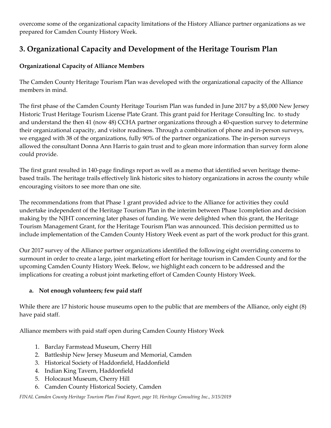overcome some of the organizational capacity limitations of the History Alliance partner organizations as we prepared for Camden County History Week.

# **3. Organizational Capacity and Development of the Heritage Tourism Plan**

## **Organizational Capacity of Alliance Members**

The Camden County Heritage Tourism Plan was developed with the organizational capacity of the Alliance members in mind.

The first phase of the Camden County Heritage Tourism Plan was funded in June 2017 by a \$5,000 New Jersey Historic Trust Heritage Tourism License Plate Grant. This grant paid for Heritage Consulting Inc. to study and understand the then 41 (now 48) CCHA partner organizations through a 40-question survey to determine their organizational capacity, and visitor readiness. Through a combination of phone and in-person surveys, we engaged with 38 of the organizations, fully 90% of the partner organizations. The in-person surveys allowed the consultant Donna Ann Harris to gain trust and to glean more information than survey form alone could provide.

The first grant resulted in 140-page findings report as well as a memo that identified seven heritage themebased trails. The heritage trails effectively link historic sites to history organizations in across the county while encouraging visitors to see more than one site.

The recommendations from that Phase 1 grant provided advice to the Alliance for activities they could undertake independent of the Heritage Tourism Plan in the interim between Phase 1completion and decision making by the NJHT concerning later phases of funding. We were delighted when this grant, the Heritage Tourism Management Grant, for the Heritage Tourism Plan was announced. This decision permitted us to include implementation of the Camden County History Week event as part of the work product for this grant.

Our 2017 survey of the Alliance partner organizations identified the following eight overriding concerns to surmount in order to create a large, joint marketing effort for heritage tourism in Camden County and for the upcoming Camden County History Week. Below, we highlight each concern to be addressed and the implications for creating a robust joint marketing effort of Camden County History Week.

## **a. Not enough volunteers; few paid staff**

While there are 17 historic house museums open to the public that are members of the Alliance, only eight (8) have paid staff.

Alliance members with paid staff open during Camden County History Week

- 1. Barclay Farmstead Museum, Cherry Hill
- 2. Battleship New Jersey Museum and Memorial, Camden
- 3. Historical Society of Haddonfield, Haddonfield
- 4. Indian King Tavern, Haddonfield
- 5. Holocaust Museum, Cherry Hill
- 6. Camden County Historical Society, Camden

*FINAL Camden County Heritage Tourism Plan Final Report, page 10, Heritage Consulting Inc., 3/15/2019*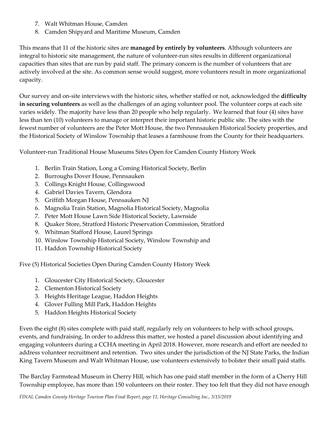- 7. Walt Whitman House, Camden
- 8. Camden Shipyard and Maritime Museum, Camden

This means that 11 of the historic sites are **managed by entirely by volunteers**. Although volunteers are integral to historic site management, the nature of volunteer-run sites results in different organizational capacities than sites that are run by paid staff. The primary concern is the number of volunteers that are actively involved at the site. As common sense would suggest, more volunteers result in more organizational capacity.

Our survey and on-site interviews with the historic sites, whether staffed or not, acknowledged the **difficulty in securing volunteers** as well as the challenges of an aging volunteer pool. The volunteer corps at each site varies widely. The majority have less than 20 people who help regularly. We learned that four (4) sites have less than ten (10) volunteers to manage or interpret their important historic public site. The sites with the fewest number of volunteers are the Peter Mott House, the two Pennsauken Historical Society properties, and the Historical Society of Winslow Township that leases a farmhouse from the County for their headquarters.

Volunteer-run Traditional House Museums Sites Open for Camden County History Week

- 1. Berlin Train Station, Long a Coming Historical Society, Berlin
- 2. Burroughs Dover House, Pennsauken
- 3. Collings Knight House, Collingswood
- 4. Gabriel Davies Tavern, Glendora
- 5. Griffith Morgan House, Pennsauken NJ
- 6. Magnolia Train Station, Magnolia Historical Society, Magnolia
- 7. Peter Mott House Lawn Side Historical Society, Lawnside
- 8. Quaker Store, Stratford Historic Preservation Commission, Stratford
- 9. Whitman Stafford House, Laurel Springs
- 10. Winslow Township Historical Society, Winslow Township and
- 11. Haddon Township Historical Society

Five (5) Historical Societies Open During Camden County History Week

- 1. Gloucester City Historical Society, Gloucester
- 2. Clementon Historical Society
- 3. Heights Heritage League, Haddon Heights
- 4. Glover Fulling Mill Park, Haddon Heights
- 5. Haddon Heights Historical Society

Even the eight (8) sites complete with paid staff, regularly rely on volunteers to help with school groups, events, and fundraising. In order to address this matter, we hosted a panel discussion about identifying and engaging volunteers during a CCHA meeting in April 2018. However, more research and effort are needed to address volunteer recruitment and retention. Two sites under the jurisdiction of the NJ State Parks, the Indian King Tavern Museum and Walt Whitman House, use volunteers extensively to bolster their small paid staffs.

The Barclay Farmstead Museum in Cherry Hill, which has one paid staff member in the form of a Cherry Hill Township employee, has more than 150 volunteers on their roster. They too felt that they did not have enough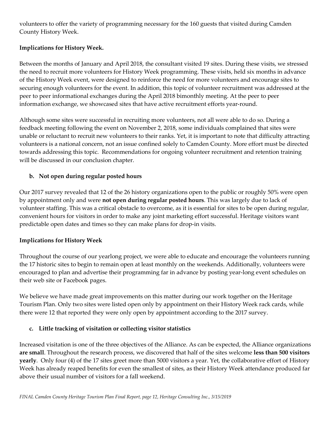volunteers to offer the variety of programming necessary for the 160 guests that visited during Camden County History Week.

## **Implications for History Week.**

Between the months of January and April 2018, the consultant visited 19 sites. During these visits, we stressed the need to recruit more volunteers for History Week programming. These visits, held six months in advance of the History Week event, were designed to reinforce the need for more volunteers and encourage sites to securing enough volunteers for the event. In addition, this topic of volunteer recruitment was addressed at the peer to peer informational exchanges during the April 2018 bimonthly meeting. At the peer to peer information exchange, we showcased sites that have active recruitment efforts year-round.

Although some sites were successful in recruiting more volunteers, not all were able to do so. During a feedback meeting following the event on November 2, 2018, some individuals complained that sites were unable or reluctant to recruit new volunteers to their ranks. Yet, it is important to note that difficulty attracting volunteers is a national concern, not an issue confined solely to Camden County. More effort must be directed towards addressing this topic. Recommendations for ongoing volunteer recruitment and retention training will be discussed in our conclusion chapter.

## **b. Not open during regular posted hours**

Our 2017 survey revealed that 12 of the 26 history organizations open to the public or roughly 50% were open by appointment only and were **not open during regular posted hours**. This was largely due to lack of volunteer staffing. This was a critical obstacle to overcome, as it is essential for sites to be open during regular, convenient hours for visitors in order to make any joint marketing effort successful. Heritage visitors want predictable open dates and times so they can make plans for drop-in visits.

#### **Implications for History Week**

Throughout the course of our yearlong project, we were able to educate and encourage the volunteers running the 17 historic sites to begin to remain open at least monthly on the weekends. Additionally, volunteers were encouraged to plan and advertise their programming far in advance by posting year-long event schedules on their web site or Facebook pages.

We believe we have made great improvements on this matter during our work together on the Heritage Tourism Plan. Only two sites were listed open only by appointment on their History Week rack cards, while there were 12 that reported they were only open by appointment according to the 2017 survey.

## **c. Little tracking of visitation or collecting visitor statistics**

Increased visitation is one of the three objectives of the Alliance. As can be expected, the Alliance organizations **are small**. Throughout the research process, we discovered that half of the sites welcome **less than 500 visitors yearly**. Only four (4) of the 17 sites greet more than 5000 visitors a year. Yet, the collaborative effort of History Week has already reaped benefits for even the smallest of sites, as their History Week attendance produced far above their usual number of visitors for a fall weekend.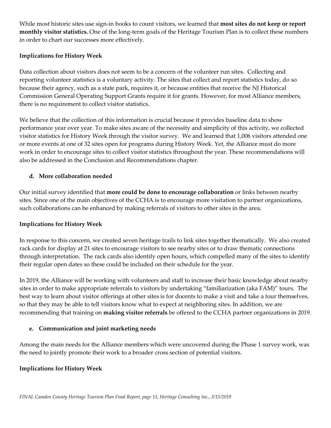While most historic sites use sign-in books to count visitors, we learned that **most sites do not keep or report monthly visitor statistics.** One of the long-term goals of the Heritage Tourism Plan is to collect these numbers in order to chart our successes more effectively.

#### **Implications for History Week**

Data collection about visitors does not seem to be a concern of the volunteer run sites. Collecting and reporting volunteer statistics is a voluntary activity. The sites that collect and report statistics today, do so because their agency, such as a state park, requires it, or because entities that receive the NJ Historical Commission General Operating Support Grants require it for grants. However, for most Alliance members, there is no requirement to collect visitor statistics.

We believe that the collection of this information is crucial because it provides baseline data to show performance year over year. To make sites aware of the necessity and simplicity of this activity, we collected visitor statistics for History Week through the visitor survey. We and learned that 1,006 visitors attended one or more events at one of 32 sites open for programs during History Week. Yet, the Alliance must do more work in order to encourage sites to collect visitor statistics throughout the year. These recommendations will also be addressed in the Conclusion and Recommendations chapter.

#### **d. More collaboration needed**

Our initial survey identified that **more could be done to encourage collaboration** or links between nearby sites. Since one of the main objectives of the CCHA is to encourage more visitation to partner organizations, such collaborations can be enhanced by making referrals of visitors to other sites in the area.

#### **Implications for History Week**

In response to this concern, we created seven heritage trails to link sites together thematically. We also created rack cards for display at 21 sites to encourage visitors to see nearby sites or to draw thematic connections through interpretation. The rack cards also identify open hours, which compelled many of the sites to identify their regular open dates so these could be included on their schedule for the year.

In 2019, the Alliance will be working with volunteers and staff to increase their basic knowledge about nearby sites in order to make appropriate referrals to visitors by undertaking "familiarization (aka FAM)" tours. The best way to learn about visitor offerings at other sites is for docents to make a visit and take a tour themselves, so that they may be able to tell visitors know what to expect at neighboring sites. In addition, we are recommending that training on **making visitor referrals** be offered to the CCHA partner organizations in 2019.

#### **e. Communication and joint marketing needs**

Among the main needs for the Alliance members which were uncovered during the Phase 1 survey work, was the need to jointly promote their work to a broader cross section of potential visitors.

#### **Implications for History Week**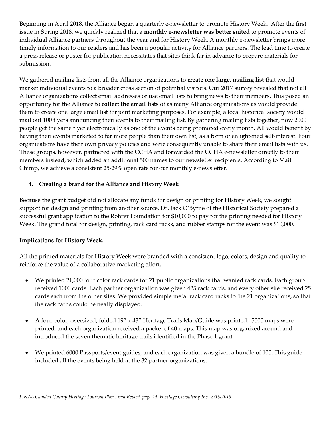Beginning in April 2018, the Alliance began a quarterly e-newsletter to promote History Week. After the first issue in Spring 2018, we quickly realized that a **monthly e-newsletter was better suited** to promote events of individual Alliance partners throughout the year and for History Week. A monthly e-newsletter brings more timely information to our readers and has been a popular activity for Alliance partners. The lead time to create a press release or poster for publication necessitates that sites think far in advance to prepare materials for submission.

We gathered mailing lists from all the Alliance organizations to **create one large, mailing list t**hat would market individual events to a broader cross section of potential visitors. Our 2017 survey revealed that not all Alliance organizations collect email addresses or use email lists to bring news to their members. This posed an opportunity for the Alliance to **collect the email lists** of as many Alliance organizations as would provide them to create one large email list for joint marketing purposes. For example, a local historical society would mail out 100 flyers announcing their events to their mailing list. By gathering mailing lists together, now 2000 people get the same flyer electronically as one of the events being promoted every month. All would benefit by having their events marketed to far more people than their own list, as a form of enlightened self-interest. Four organizations have their own privacy policies and were consequently unable to share their email lists with us. These groups, however, partnered with the CCHA and forwarded the CCHA e-newsletter directly to their members instead, which added an additional 500 names to our newsletter recipients. According to Mail Chimp, we achieve a consistent 25-29% open rate for our monthly e-newsletter.

## **f. Creating a brand for the Alliance and History Week**

Because the grant budget did not allocate any funds for design or printing for History Week, we sought support for design and printing from another source. Dr. Jack O'Byrne of the Historical Society prepared a successful grant application to the Rohrer Foundation for \$10,000 to pay for the printing needed for History Week. The grand total for design, printing, rack card racks, and rubber stamps for the event was \$10,000.

#### **Implications for History Week.**

All the printed materials for History Week were branded with a consistent logo, colors, design and quality to reinforce the value of a collaborative marketing effort.

- We printed 21,000 four color rack cards for 21 public organizations that wanted rack cards. Each group received 1000 cards. Each partner organization was given 425 rack cards, and every other site received 25 cards each from the other sites. We provided simple metal rack card racks to the 21 organizations, so that the rack cards could be neatly displayed.
- A four-color, oversized, folded 19" x 43" Heritage Trails Map/Guide was printed. 5000 maps were printed, and each organization received a packet of 40 maps. This map was organized around and introduced the seven thematic heritage trails identified in the Phase 1 grant.
- We printed 6000 Passports/event guides, and each organization was given a bundle of 100. This guide included all the events being held at the 32 partner organizations.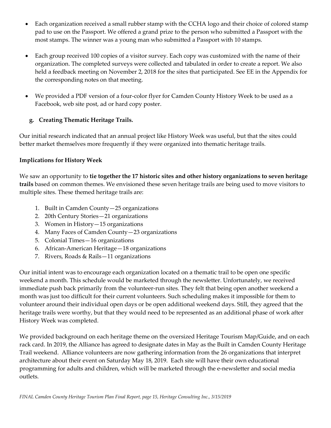- Each organization received a small rubber stamp with the CCHA logo and their choice of colored stamp pad to use on the Passport. We offered a grand prize to the person who submitted a Passport with the most stamps. The winner was a young man who submitted a Passport with 10 stamps.
- Each group received 100 copies of a visitor survey. Each copy was customized with the name of their organization. The completed surveys were collected and tabulated in order to create a report. We also held a feedback meeting on November 2, 2018 for the sites that participated. See EE in the Appendix for the corresponding notes on that meeting.
- We provided a PDF version of a four-color flyer for Camden County History Week to be used as a Facebook, web site post, ad or hard copy poster.

## **g. Creating Thematic Heritage Trails.**

Our initial research indicated that an annual project like History Week was useful, but that the sites could better market themselves more frequently if they were organized into thematic heritage trails.

#### **Implications for History Week**

We saw an opportunity to **tie together the 17 historic sites and other history organizations to seven heritage trails** based on common themes. We envisioned these seven heritage trails are being used to move visitors to multiple sites. These themed heritage trails are:

- 1. Built in Camden County—25 organizations
- 2. 20th Century Stories—21 organizations
- 3. Women in History—15 organizations
- 4. Many Faces of Camden County—23 organizations
- 5. Colonial Times—16 organizations
- 6. African-American Heritage—18 organizations
- 7. Rivers, Roads & Rails—11 organizations

Our initial intent was to encourage each organization located on a thematic trail to be open one specific weekend a month. This schedule would be marketed through the newsletter. Unfortunately, we received immediate push back primarily from the volunteer-run sites. They felt that being open another weekend a month was just too difficult for their current volunteers. Such scheduling makes it impossible for them to volunteer around their individual open days or be open additional weekend days. Still, they agreed that the heritage trails were worthy, but that they would need to be represented as an additional phase of work after History Week was completed.

We provided background on each heritage theme on the oversized Heritage Tourism Map/Guide, and on each rack card. In 2019, the Alliance has agreed to designate dates in May as the Built in Camden County Heritage Trail weekend. Alliance volunteers are now gathering information from the 26 organizations that interpret architecture about their event on Saturday May 18, 2019. Each site will have their own educational programming for adults and children, which will be marketed through the e-newsletter and social media outlets.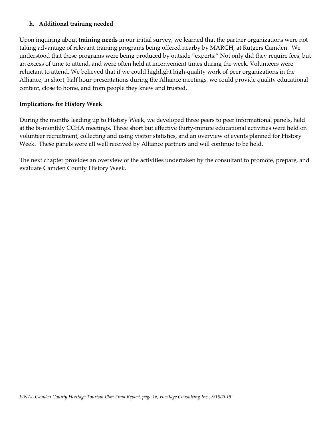#### **h. Additional training needed**

Upon inquiring about **training needs** in our initial survey, we learned that the partner organizations were not taking advantage of relevant training programs being offered nearby by MARCH, at Rutgers Camden. We understood that these programs were being produced by outside "experts." Not only did they require fees, but an excess of time to attend, and were often held at inconvenient times during the week. Volunteers were reluctant to attend. We believed that if we could highlight high-quality work of peer organizations in the Alliance, in short, half hour presentations during the Alliance meetings, we could provide quality educational content, close to home, and from people they knew and trusted.

#### **Implications for History Week**

During the months leading up to History Week, we developed three peers to peer informational panels, held at the bi-monthly CCHA meetings. Three short but effective thirty-minute educational activities were held on volunteer recruitment, collecting and using visitor statistics, and an overview of events planned for History Week. These panels were all well received by Alliance partners and will continue to be held.

The next chapter provides an overview of the activities undertaken by the consultant to promote, prepare, and evaluate Camden County History Week.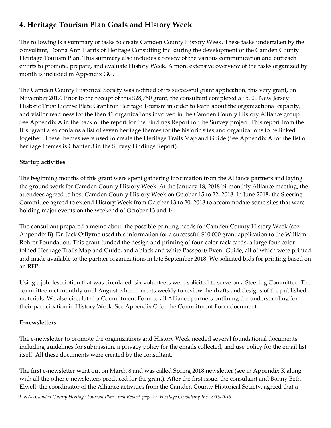# **4. Heritage Tourism Plan Goals and History Week**

The following is a summary of tasks to create Camden County History Week. These tasks undertaken by the consultant, Donna Ann Harris of Heritage Consulting Inc. during the development of the Camden County Heritage Tourism Plan. This summary also includes a review of the various communication and outreach efforts to promote, prepare, and evaluate History Week. A more extensive overview of the tasks organized by month is included in Appendix GG.

The Camden County Historical Society was notified of its successful grant application, this very grant, on November 2017. Prior to the receipt of this \$28,750 grant, the consultant completed a \$5000 New Jersey Historic Trust License Plate Grant for Heritage Tourism in order to learn about the organizational capacity, and visitor readiness for the then 41 organizations involved in the Camden County History Alliance group. See Appendix A in the back of the report for the Findings Report for the Survey project. This report from the first grant also contains a list of seven heritage themes for the historic sites and organizations to be linked together. These themes were used to create the Heritage Trails Map and Guide (See Appendix A for the list of heritage themes is Chapter 3 in the Survey Findings Report).

## **Startup activities**

The beginning months of this grant were spent gathering information from the Alliance partners and laying the ground work for Camden County History Week. At the January 18, 2018 bi-monthly Alliance meeting, the attendees agreed to host Camden County History Week on October 15 to 22, 2018. In June 2018, the Steering Committee agreed to extend History Week from October 13 to 20, 2018 to accommodate some sites that were holding major events on the weekend of October 13 and 14.

The consultant prepared a memo about the possible printing needs for Camden County History Week (see Appendix B). Dr. Jack O'Byrne used this information for a successful \$10,000 grant application to the William Rohrer Foundation. This grant funded the design and printing of four-color rack cards, a large four-color folded Heritage Trails Map and Guide, and a black and white Passport/ Event Guide, all of which were printed and made available to the partner organizations in late September 2018. We solicited bids for printing based on an RFP.

Using a job description that was circulated, six volunteers were solicited to serve on a Steering Committee. The committee met monthly until August when it meets weekly to review the drafts and designs of the published materials. We also circulated a Commitment Form to all Alliance partners outlining the understanding for their participation in History Week. See Appendix G for the Commitment Form document.

## **E-newsletters**

The e-newsletter to promote the organizations and History Week needed several foundational documents including guidelines for submission, a privacy policy for the emails collected, and use policy for the email list itself. All these documents were created by the consultant.

The first e-newsletter went out on March 8 and was called Spring 2018 newsletter (see in Appendix K along with all the other e-newsletters produced for the grant). After the first issue, the consultant and Bonny Beth Elwell, the coordinator of the Alliance activities from the Camden County Historical Society, agreed that a

*FINAL Camden County Heritage Tourism Plan Final Report, page 17, Heritage Consulting Inc., 3/15/2019*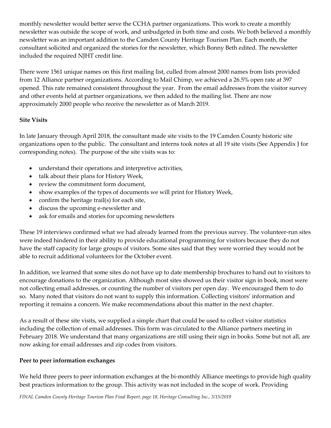monthly newsletter would better serve the CCHA partner organizations. This work to create a monthly newsletter was outside the scope of work, and unbudgeted in both time and costs. We both believed a monthly newsletter was an important addition to the Camden County Heritage Tourism Plan. Each month, the consultant solicited and organized the stories for the newsletter, which Bonny Beth edited. The newsletter included the required NJHT credit line.

There were 1561 unique names on this first mailing list, culled from almost 2000 names from lists provided from 12 Alliance partner organizations. According to Mail Chimp, we achieved a 26.5% open rate at 397 opened. This rate remained consistent throughout the year. From the email addresses from the visitor survey and other events held at partner organizations, we then added to the mailing list. There are now approximately 2000 people who receive the newsletter as of March 2019.

## **Site Visits**

In late January through April 2018, the consultant made site visits to the 19 Camden County historic site organizations open to the public. The consultant and interns took notes at all 19 site visits (See Appendix J for corresponding notes). The purpose of the site visits was to:

- understand their operations and interpretive activities,
- talk about their plans for History Week,
- review the commitment form document,
- show examples of the types of documents we will print for History Week,
- confirm the heritage trail(s) for each site,
- discuss the upcoming e-newsletter and
- ask for emails and stories for upcoming newsletters

These 19 interviews confirmed what we had already learned from the previous survey. The volunteer-run sites were indeed hindered in their ability to provide educational programming for visitors because they do not have the staff capacity for large groups of visitors. Some sites said that they were worried they would not be able to recruit additional volunteers for the October event.

In addition, we learned that some sites do not have up to date membership brochures to hand out to visitors to encourage donations to the organization. Although most sites showed us their visitor sign in book, most were not collecting email addresses, or counting the number of visitors per open day. We encouraged them to do so. Many noted that visitors do not want to supply this information. Collecting visitors' information and reporting it remains a concern. We make recommendations about this matter in the next chapter.

As a result of these site visits, we supplied a simple chart that could be used to collect visitor statistics including the collection of email addresses. This form was circulated to the Alliance partners meeting in February 2018. We understand that many organizations are still using their sign in books. Some but not all, are now asking for email addresses and zip codes from visitors.

#### **Peer to peer information exchanges**

We held three peers to peer information exchanges at the bi-monthly Alliance meetings to provide high quality best practices information to the group. This activity was not included in the scope of work. Providing

*FINAL Camden County Heritage Tourism Plan Final Report, page 18, Heritage Consulting Inc., 3/15/2019*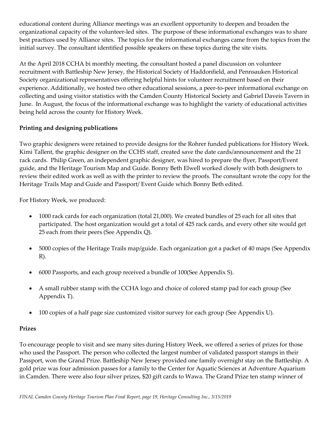educational content during Alliance meetings was an excellent opportunity to deepen and broaden the organizational capacity of the volunteer-led sites. The purpose of these informational exchanges was to share best practices used by Alliance sites. The topics for the informational exchanges came from the topics from the initial survey. The consultant identified possible speakers on these topics during the site visits.

At the April 2018 CCHA bi monthly meeting, the consultant hosted a panel discussion on volunteer recruitment with Battleship New Jersey, the Historical Society of Haddonfield, and Pennsauken Historical Society organizational representatives offering helpful hints for volunteer recruitment based on their experience. Additionally, we hosted two other educational sessions, a peer-to-peer informational exchange on collecting and using visitor statistics with the Camden County Historical Society and Gabriel Daveis Tavern in June. In August, the focus of the informational exchange was to highlight the variety of educational activities being held across the county for History Week.

## **Printing and designing publications**

Two graphic designers were retained to provide designs for the Rohrer funded publications for History Week. Kimi Tallent, the graphic designer on the CCHS staff, created save the date cards/announcement and the 21 rack cards. Philip Green, an independent graphic designer, was hired to prepare the flyer, Passport/Event guide, and the Heritage Tourism Map and Guide. Bonny Beth Elwell worked closely with both designers to review their edited work as well as with the printer to review the proofs. The consultant wrote the copy for the Heritage Trails Map and Guide and Passport/ Event Guide which Bonny Beth edited.

For History Week, we produced:

- 1000 rack cards for each organization (total 21,000). We created bundles of 25 each for all sites that participated. The host organization would get a total of 425 rack cards, and every other site would get 25 each from their peers (See Appendix Q).
- 5000 copies of the Heritage Trails map/guide. Each organization got a packet of 40 maps (See Appendix R).
- 6000 Passports, and each group received a bundle of 100(See Appendix S).
- A small rubber stamp with the CCHA logo and choice of colored stamp pad for each group (See Appendix T).
- 100 copies of a half page size customized visitor survey for each group (See Appendix U).

#### **Prizes**

To encourage people to visit and see many sites during History Week, we offered a series of prizes for those who used the Passport. The person who collected the largest number of validated passport stamps in their Passport, won the Grand Prize. Battleship New Jersey provided one family overnight stay on the Battleship. A gold prize was four admission passes for a family to the Center for Aquatic Sciences at Adventure Aquarium in Camden. There were also four silver prizes, \$20 gift cards to Wawa. The Grand Prize ten stamp winner of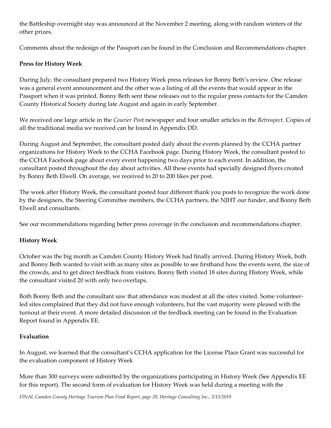the Battleship overnight stay was announced at the November 2 meeting, along with random winters of the other prizes.

Comments about the redesign of the Passport can be found in the Conclusion and Recommendations chapter.

### **Press for History Week**

During July, the consultant prepared two History Week press releases for Bonny Beth's review. One release was a general event announcement and the other was a listing of all the events that would appear in the Passport when it was printed. Bonny Beth sent these releases out to the regular press contacts for the Camden County Historical Society during late August and again in early September.

We received one large article in the *Courier Pos*t newspaper and four smaller articles in the *Retrospect.* Copies of all the traditional media we received can be found in Appendix DD.

During August and September, the consultant posted daily about the events planned by the CCHA partner organizations for History Week to the CCHA Facebook page. During History Week, the consultant posted to the CCHA Facebook page about every event happening two days prior to each event. In addition, the consultant posted throughout the day about activities. All these events had specially designed flyers created by Bonny Beth Elwell. On average, we received to 20 to 200 likes per post.

The week after History Week, the consultant posted four different thank you posts to recognize the work done by the designers, the Steering Committee members, the CCHA partners, the NJHT our funder, and Bonny Beth Elwell and consultants.

See our recommendations regarding better press coverage in the conclusion and recommendations chapter.

#### **History Week**

October was the big month as Camden County History Week had finally arrived. During History Week, both and Bonny Beth wanted to visit with as many sites as possible to see firsthand how the events went, the size of the crowds, and to get direct feedback from visitors. Bonny Beth visited 18 sites during History Week, while the consultant visited 20 with only two overlaps.

Both Bonny Beth and the consultant saw that attendance was modest at all the sites visited. Some volunteerled sites complained that they did not have enough volunteers, but the vast majority were pleased with the turnout at their event. A more detailed discussion of the feedback meeting can be found in the Evaluation Report found in Appendix EE.

#### **Evaluation**

In August, we learned that the consultant's CCHA application for the License Place Grant was successful for the evaluation component of History Week

More than 300 surveys were submitted by the organizations participating in History Week (See Appendix EE for this report). The second form of evaluation for History Week was held during a meeting with the

*FINAL Camden County Heritage Tourism Plan Final Report, page 20, Heritage Consulting Inc., 3/15/2019*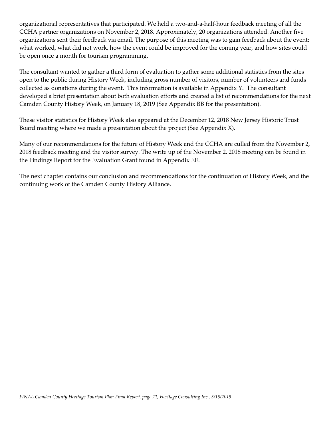organizational representatives that participated. We held a two-and-a-half-hour feedback meeting of all the CCHA partner organizations on November 2, 2018. Approximately, 20 organizations attended. Another five organizations sent their feedback via email. The purpose of this meeting was to gain feedback about the event: what worked, what did not work, how the event could be improved for the coming year, and how sites could be open once a month for tourism programming.

The consultant wanted to gather a third form of evaluation to gather some additional statistics from the sites open to the public during History Week, including gross number of visitors, number of volunteers and funds collected as donations during the event. This information is available in Appendix Y. The consultant developed a brief presentation about both evaluation efforts and created a list of recommendations for the next Camden County History Week, on January 18, 2019 (See Appendix BB for the presentation).

These visitor statistics for History Week also appeared at the December 12, 2018 New Jersey Historic Trust Board meeting where we made a presentation about the project (See Appendix  $X$ ).

Many of our recommendations for the future of History Week and the CCHA are culled from the November 2, 2018 feedback meeting and the visitor survey. The write up of the November 2, 2018 meeting can be found in the Findings Report for the Evaluation Grant found in Appendix EE.

The next chapter contains our conclusion and recommendations for the continuation of History Week, and the continuing work of the Camden County History Alliance.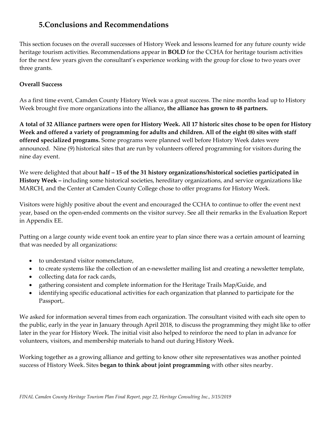# **5.Conclusions and Recommendations**

This section focuses on the overall successes of History Week and lessons learned for any future county wide heritage tourism activities. Recommendations appear in **BOLD** for the CCHA for heritage tourism activities for the next few years given the consultant's experience working with the group for close to two years over three grants.

### **Overall Success**

As a first time event, Camden County History Week was a great success. The nine months lead up to History Week brought five more organizations into the alliance**, the alliance has grown to 48 partners.**

**A total of 32 Alliance partners were open for History Week. All 17 historic sites chose to be open for History Week and offered a variety of programming for adults and children. All of the eight (8) sites with staff offered specialized programs.** Some programs were planned well before History Week dates were announced. Nine (9) historical sites that are run by volunteers offered programming for visitors during the nine day event.

We were delighted that about **half – 15 of the 31 history organizations/historical societies participated in History Week –** including some historical societies, hereditary organizations, and service organizations like MARCH, and the Center at Camden County College chose to offer programs for History Week.

Visitors were highly positive about the event and encouraged the CCHA to continue to offer the event next year, based on the open-ended comments on the visitor survey. See all their remarks in the Evaluation Report in Appendix EE.

Putting on a large county wide event took an entire year to plan since there was a certain amount of learning that was needed by all organizations:

- to understand visitor nomenclature,
- to create systems like the collection of an e-newsletter mailing list and creating a newsletter template,
- collecting data for rack cards,
- gathering consistent and complete information for the Heritage Trails Map/Guide, and
- identifying specific educational activities for each organization that planned to participate for the Passport,.

We asked for information several times from each organization. The consultant visited with each site open to the public, early in the year in January through April 2018, to discuss the programming they might like to offer later in the year for History Week. The initial visit also helped to reinforce the need to plan in advance for volunteers, visitors, and membership materials to hand out during History Week.

Working together as a growing alliance and getting to know other site representatives was another pointed success of History Week. Sites **began to think about joint programming** with other sites nearby.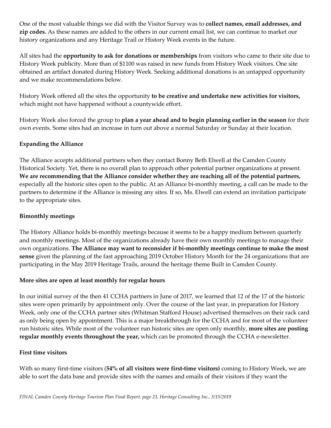One of the most valuable things we did with the Visitor Survey was to **collect names, email addresses, and zip codes.** As these names are added to the others in our current email list, we can continue to market our history organizations and any Heritage Trail or History Week events in the future.

All sites had the **opportunity to ask for donations or memberships** from visitors who came to their site due to History Week publicity. More than of \$1100 was raised in new funds from History Week visitors. One site obtained an artifact donated during History Week. Seeking additional donations is an untapped opportunity and we make recommendations below.

History Week offered all the sites the opportunity **to be creative and undertake new activities for visitors,**  which might not have happened without a countywide effort.

History Week also forced the group to **plan a year ahead and to begin planning earlier in the season** for their own events. Some sites had an increase in turn out above a normal Saturday or Sunday at their location.

## **Expanding the Alliance**

The Alliance accepts additional partners when they contact Bonny Beth Elwell at the Camden County Historical Society. Yet, there is no overall plan to approach other potential partner organizations at present. **We are recommending that the Alliance consider whether they are reaching all of the potential partners,** especially all the historic sites open to the public. At an Alliance bi-monthly meeting, a call can be made to the partners to determine if the Alliance is missing any sites. If so, Ms. Elwell can extend an invitation participate to the appropriate sites.

#### **Bimonthly meetings**

The History Alliance holds bi-monthly meetings because it seems to be a happy medium between quarterly and monthly meetings. Most of the organizations already have their own monthly meetings to manage their own organizations. **The Alliance may want to reconsider if bi-monthly meetings continue to make the most sense** given the planning of the fast approaching 2019 October History Month for the 24 organizations that are participating in the May 2019 Heritage Trails, around the heritage theme Built in Camden County.

#### **More sites are open at least monthly for regular hours**

In our initial survey of the then 41 CCHA partners in June of 2017, we learned that 12 of the 17 of the historic sites were open primarily by appointment only. Over the course of the last year, in preparation for History Week, only one of the CCHA partner sites (Whitman Stafford House) advertised themselves on their rack card as only being open by appointment. This is a major breakthrough for the CCHA and for most of the volunteer run historic sites. While most of the volunteer run historic sites are open only monthly, **more sites are posting regular monthly events throughout the year,** which can be promoted through the CCHA e-newsletter.

#### **First time visitors**

With so many first-time visitors (**54% of all visitors were first-time visitors)** coming to History Week, we are able to sort the data base and provide sites with the names and emails of their visitors if they want the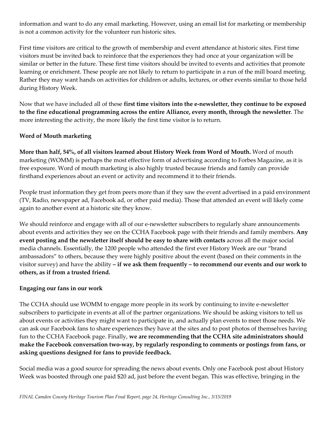information and want to do any email marketing. However, using an email list for marketing or membership is not a common activity for the volunteer run historic sites.

First time visitors are critical to the growth of membership and event attendance at historic sites. First time visitors must be invited back to reinforce that the experiences they had once at your organization will be similar or better in the future. These first time visitors should be invited to events and activities that promote learning or enrichment. These people are not likely to return to participate in a run of the mill board meeting. Rather they may want hands on activities for children or adults, lectures, or other events similar to those held during History Week.

Now that we have included all of these **first time visitors into the e-newsletter, they continue to be exposed to the fine educational programming across the entire Alliance, every month, through the newsletter**. The more interesting the activity, the more likely the first time visitor is to return.

#### **Word of Mouth marketing**

**More than half, 54%, of all visitors learned about History Week from Word of Mouth.** Word of mouth marketing (WOMM) is perhaps the most effective form of advertising according to Forbes Magazine, as it is free exposure. Word of mouth marketing is also highly trusted because friends and family can provide firsthand experiences about an event or activity and recommend it to their friends.

People trust information they get from peers more than if they saw the event advertised in a paid environment (TV, Radio, newspaper ad, Facebook ad, or other paid media). Those that attended an event will likely come again to another event at a historic site they know.

We should reinforce and engage with all of our e-newsletter subscribers to regularly share announcements about events and activities they see on the CCHA Facebook page with their friends and family members. **Any event posting and the newsletter itself should be easy to share with contacts** across all the major social media channels. Essentially, the 1200 people who attended the first ever History Week are our "brand ambassadors" to others, because they were highly positive about the event (based on their comments in the visitor survey) and have the ability **– if we ask them frequently – to recommend our events and our work to others, as if from a trusted friend.** 

#### **Engaging our fans in our work**

The CCHA should use WOMM to engage more people in its work by continuing to invite e-newsletter subscribers to participate in events at all of the partner organizations. We should be asking visitors to tell us about events or activities they might want to participate in, and actually plan events to meet those needs. We can ask our Facebook fans to share experiences they have at the sites and to post photos of themselves having fun to the CCHA Facebook page. Finally, **we are recommending that the CCHA site administrators should make the Facebook conversation two-way, by regularly responding to comments or postings from fans, or asking questions designed for fans to provide feedback.** 

Social media was a good source for spreading the news about events. Only one Facebook post about History Week was boosted through one paid \$20 ad, just before the event began. This was effective, bringing in the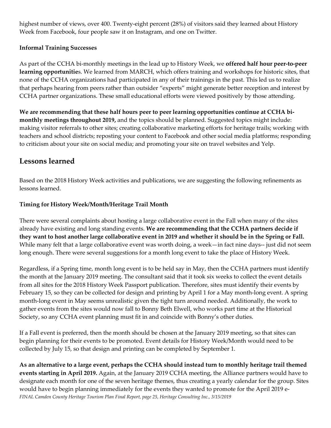highest number of views, over 400. Twenty-eight percent (28%) of visitors said they learned about History Week from Facebook, four people saw it on Instagram, and one on Twitter.

## **Informal Training Successes**

As part of the CCHA bi-monthly meetings in the lead up to History Week, we **offered half hour peer-to-peer learning opportunitie**s. We learned from MARCH, which offers training and workshops for historic sites, that none of the CCHA organizations had participated in any of their trainings in the past. This led us to realize that perhaps hearing from peers rather than outsider "experts" might generate better reception and interest by CCHA partner organizations. These small educational efforts were viewed positively by those attending.

**We are recommending that these half hours peer to peer learning opportunities continue at CCHA bimonthly meetings throughout 2019,** and the topics should be planned. Suggested topics might include: making visitor referrals to other sites; creating collaborative marketing efforts for heritage trails; working with teachers and school districts; reposting your content to Facebook and other social media platforms; responding to criticism about your site on social media; and promoting your site on travel websites and Yelp.

# **Lessons learned**

Based on the 2018 History Week activities and publications, we are suggesting the following refinements as lessons learned.

## **Timing for History Week/Month/Heritage Trail Month**

There were several complaints about hosting a large collaborative event in the Fall when many of the sites already have existing and long standing events. **We are recommending that the CCHA partners decide if they want to host another large collaborative event in 2019 and whether it should be in the Spring or Fall.** While many felt that a large collaborative event was worth doing, a week—in fact nine days-- just did not seem long enough. There were several suggestions for a month long event to take the place of History Week.

Regardless, if a Spring time, month long event is to be held say in May, then the CCHA partners must identify the month at the January 2019 meeting. The consultant said that it took six weeks to collect the event details from all sites for the 2018 History Week Passport publication. Therefore, sites must identify their events by February 15, so they can be collected for design and printing by April 1 for a May month-long event. A spring month-long event in May seems unrealistic given the tight turn around needed. Additionally, the work to gather events from the sites would now fall to Bonny Beth Elwell, who works part time at the Historical Society, so any CCHA event planning must fit in and coincide with Bonny's other duties.

If a Fall event is preferred, then the month should be chosen at the January 2019 meeting, so that sites can begin planning for their events to be promoted. Event details for History Week/Month would need to be collected by July 15, so that design and printing can be completed by September 1.

*FINAL Camden County Heritage Tourism Plan Final Report, page 25, Heritage Consulting Inc., 3/15/2019* **As an alternative to a large event, perhaps the CCHA should instead turn to monthly heritage trail themed events starting in April 2019.** Again, at the January 2019 CCHA meeting, the Alliance partners would have to designate each month for one of the seven heritage themes, thus creating a yearly calendar for the group. Sites would have to begin planning immediately for the events they wanted to promote for the April 2019 e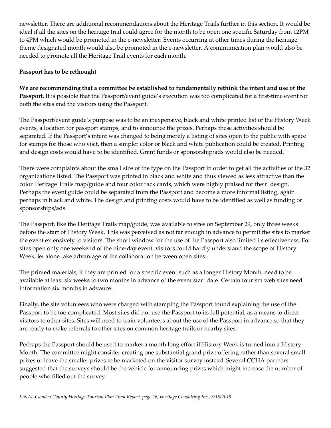newsletter. There are additional recommendations about the Heritage Trails further in this section. It would be ideal if all the sites on the heritage trail could agree for the month to be open one specific Saturday from 12PM to 4PM which would be promoted in the e-newsletter. Events occurring at other times during the heritage theme designated month would also be promoted in the e-newsletter. A communication plan would also be needed to promote all the Heritage Trail events for each month.

### **Passport has to be rethought**

**We are recommending that a committee be established to fundamentally rethink the intent and use of the Passport.** It is possible that the Passport/event guide's execution was too complicated for a first-time event for both the sites and the visitors using the Passport.

The Passport/event guide's purpose was to be an inexpensive, black and white printed list of the History Week events, a location for passport stamps, and to announce the prizes. Perhaps these activities should be separated. If the Passport's intent was changed to being merely a listing of sites open to the public with space for stamps for those who visit, then a simpler color or black and white publication could be created. Printing and design costs would have to be identified. Grant funds or sponsorship/ads would also be needed.

There were complaints about the small size of the type on the Passport in order to get all the activities of the 32 organizations listed. The Passport was printed in black and white and thus viewed as less attractive than the color Heritage Trails map/guide and four color rack cards, which were highly praised for their design. Perhaps the event guide could be separated from the Passport and become a more informal listing, again perhaps in black and white. The design and printing costs would have to be identified as well as funding or sponsorships/ads.

The Passport, like the Heritage Trails map/guide, was available to sites on September 29, only three weeks before the start of History Week. This was perceived as not far enough in advance to permit the sites to market the event extensively to visitors. The short window for the use of the Passport also limited its effectiveness. For sites open only one weekend of the nine-day event, visitors could hardly understand the scope of History Week, let alone take advantage of the collaboration between open sites.

The printed materials, if they are printed for a specific event such as a longer History Month, need to be available at least six weeks to two months in advance of the event start date. Certain tourism web sites need information six months in advance.

Finally, the site volunteers who were charged with stamping the Passport found explaining the use of the Passport to be too complicated. Most sites did not use the Passport to its full potential, as a means to direct visitors to other sites. Sites will need to train volunteers about the use of the Passport in advance so that they are ready to make referrals to other sites on common heritage trails or nearby sites.

Perhaps the Passport should be used to market a month long effort if History Week is turned into a History Month. The committee might consider creating one substantial grand prize offering rather than several small prizes or leave the smaller prizes to be marketed on the visitor survey instead. Several CCHA partners suggested that the surveys should be the vehicle for announcing prizes which might increase the number of people who filled out the survey.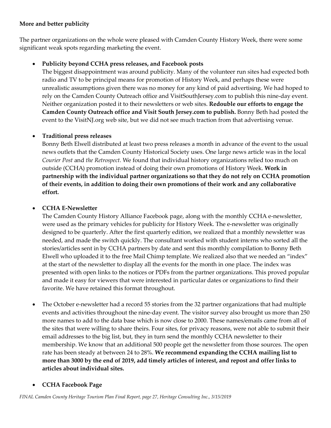## **More and better publicity**

The partner organizations on the whole were pleased with Camden County History Week, there were some significant weak spots regarding marketing the event.

## • **Publicity beyond CCHA press releases, and Facebook posts**

The biggest disappointment was around publicity. Many of the volunteer run sites had expected both radio and TV to be principal means for promotion of History Week, and perhaps these were unrealistic assumptions given there was no money for any kind of paid advertising. We had hoped to rely on the Camden County Outreach office and VisitSouthJersey.com to publish this nine-day event. Neither organization posted it to their newsletters or web sites. **Redouble our efforts to engage the Camden County Outreach office and Visit South Jersey.com to publish.** Bonny Beth had posted the event to the VisitNJ.org web site, but we did not see much traction from that advertising venue.

#### • **Traditional press releases**

Bonny Beth Elwell distributed at least two press releases a month in advance of the event to the usual news outlets that the Camden County Historical Society uses. One large news article was in the local *Courier Post* and *the Retrospect.* We found that individual history organizations relied too much on outside (CCHA) promotion instead of doing their own promotions of History Week. **Work in partnership with the individual partner organizations so that they do not rely on CCHA promotion of their events, in addition to doing their own promotions of their work and any collaborative effort.** 

## • **CCHA E-Newsletter**

The Camden County History Alliance Facebook page, along with the monthly CCHA e-newsletter, were used as the primary vehicles for publicity for History Week. The e-newsletter was originally designed to be quarterly. After the first quarterly edition, we realized that a monthly newsletter was needed, and made the switch quickly. The consultant worked with student interns who sorted all the stories/articles sent in by CCHA partners by date and sent this monthly compilation to Bonny Beth Elwell who uploaded it to the free Mail Chimp template. We realized also that we needed an "index" at the start of the newsletter to display all the events for the month in one place. The index was presented with open links to the notices or PDFs from the partner organizations. This proved popular and made it easy for viewers that were interested in particular dates or organizations to find their favorite. We have retained this format throughout.

• The October e-newsletter had a record 55 stories from the 32 partner organizations that had multiple events and activities throughout the nine-day event. The visitor survey also brought us more than 250 more names to add to the data base which is now close to 2000. These names/emails came from all of the sites that were willing to share theirs. Four sites, for privacy reasons, were not able to submit their email addresses to the big list, but, they in turn send the monthly CCHA newsletter to their membership. We know that an additional 500 people get the newsletter from those sources. The open rate has been steady at between 24 to 28%. **We recommend expanding the CCHA mailing list to more than 3000 by the end of 2019, add timely articles of interest, and repost and offer links to articles about individual sites.** 

#### • **CCHA Facebook Page**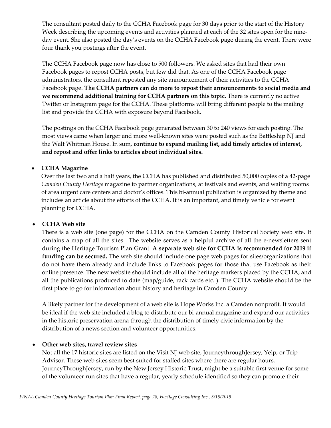The consultant posted daily to the CCHA Facebook page for 30 days prior to the start of the History Week describing the upcoming events and activities planned at each of the 32 sites open for the nineday event. She also posted the day's events on the CCHA Facebook page during the event. There were four thank you postings after the event.

The CCHA Facebook page now has close to 500 followers. We asked sites that had their own Facebook pages to repost CCHA posts, but few did that. As one of the CCHA Facebook page administrators, the consultant reposted any site announcement of their activities to the CCHA Facebook page. **The CCHA partners can do more to repost their announcements to social media and we recommend additional training for CCHA partners on this topic.** There is currently no active Twitter or Instagram page for the CCHA. These platforms will bring different people to the mailing list and provide the CCHA with exposure beyond Facebook.

The postings on the CCHA Facebook page generated between 30 to 240 views for each posting. The most views came when larger and more well-known sites were posted such as the Battleship NJ and the Walt Whitman House. In sum, **continue to expand mailing list, add timely articles of interest, and repost and offer links to articles about individual sites.** 

#### • **CCHA Magazine**

Over the last two and a half years, the CCHA has published and distributed 50,000 copies of a 42-page *Camden County Heritage* magazine to partner organizations, at festivals and events, and waiting rooms of area urgent care centers and doctor's offices. This bi-annual publication is organized by theme and includes an article about the efforts of the CCHA. It is an important, and timely vehicle for event planning for CCHA.

#### • **CCHA Web site**

There is a web site (one page) for the CCHA on the Camden County Historical Society web site. It contains a map of all the sites . The website serves as a helpful archive of all the e-newsletters sent during the Heritage Tourism Plan Grant. **A separate web site for CCHA is recommended for 2019 if funding can be secured.** The web site should include one page web pages for sites/organizations that do not have them already and include links to Facebook pages for those that use Facebook as their online presence. The new website should include all of the heritage markers placed by the CCHA, and all the publications produced to date (map/guide, rack cards etc. ). The CCHA website should be the first place to go for information about history and heritage in Camden County.

A likely partner for the development of a web site is Hope Works Inc. a Camden nonprofit. It would be ideal if the web site included a blog to distribute our bi-annual magazine and expand our activities in the historic preservation arena through the distribution of timely civic information by the distribution of a news section and volunteer opportunities.

#### • **Other web sites, travel review sites**

Not all the 17 historic sites are listed on the Visit NJ web site, JourneythroughJersey, Yelp, or Trip Advisor. These web sites seem best suited for staffed sites where there are regular hours. JourneyThroughJersey, run by the New Jersey Historic Trust, might be a suitable first venue for some of the volunteer run sites that have a regular, yearly schedule identified so they can promote their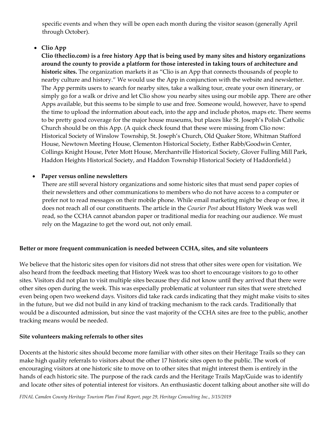specific events and when they will be open each month during the visitor season (generally April through October).

## • **Clio App**

**Clio (theclio.com) is a free history App that is being used by many sites and history organizations around the county to provide a platform for those interested in taking tours of architecture and historic sites.** The organization markets it as "Clio is an App that connects thousands of people to nearby culture and history." We would use the App in conjunction with the website and newsletter. The App permits users to search for nearby sites, take a walking tour, create your own itinerary, or simply go for a walk or drive and let Clio show you nearby sites using our mobile app. There are other Apps available, but this seems to be simple to use and free. Someone would, however, have to spend the time to upload the information about each, into the app and include photos, maps etc. There seems to be pretty good coverage for the major house museums, but places like St. Joseph's Polish Catholic Church should be on this App. (A quick check found that these were missing from Clio now: Historical Society of Winslow Township, St. Joseph's Church, Old Quaker Store, Whitman Stafford House, Newtown Meeting House, Clementon Historical Society, Esther Rabb/Goodwin Center, Collings Knight House, Peter Mott House, Merchantville Historical Society, Glover Fulling Mill Park, Haddon Heights Historical Society, and Haddon Township Historical Society of Haddonfield.)

#### • **Paper versus online newsletters**

There are still several history organizations and some historic sites that must send paper copies of their newsletters and other communications to members who do not have access to a computer or prefer not to read messages on their mobile phone. While email marketing might be cheap or free, it does not reach all of our constituents. The article in the *Courier Post* about History Week was well read, so the CCHA cannot abandon paper or traditional media for reaching our audience. We must rely on the Magazine to get the word out, not only email.

#### **Better or more frequent communication is needed between CCHA, sites, and site volunteers**

We believe that the historic sites open for visitors did not stress that other sites were open for visitation. We also heard from the feedback meeting that History Week was too short to encourage visitors to go to other sites. Visitors did not plan to visit multiple sites because they did not know until they arrived that there were other sites open during the week. This was especially problematic at volunteer run sites that were stretched even being open two weekend days. Visitors did take rack cards indicating that they might make visits to sites in the future, but we did not build in any kind of tracking mechanism to the rack cards. Traditionally that would be a discounted admission, but since the vast majority of the CCHA sites are free to the public, another tracking means would be needed.

#### **Site volunteers making referrals to other sites**

Docents at the historic sites should become more familiar with other sites on their Heritage Trails so they can make high quality referrals to visitors about the other 17 historic sites open to the public. The work of encouraging visitors at one historic site to move on to other sites that might interest them is entirely in the hands of each historic site. The purpose of the rack cards and the Heritage Trails Map/Guide was to identify and locate other sites of potential interest for visitors. An enthusiastic docent talking about another site will do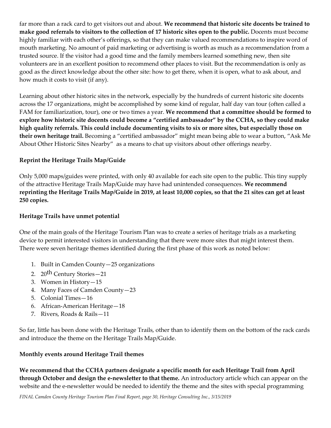far more than a rack card to get visitors out and about. **We recommend that historic site docents be trained to make good referrals to visitors to the collection of 17 historic sites open to the public.** Docents must become highly familiar with each other's offerings, so that they can make valued recommendations to inspire word of mouth marketing. No amount of paid marketing or advertising is worth as much as a recommendation from a trusted source. If the visitor had a good time and the family members learned something new, then site volunteers are in an excellent position to recommend other places to visit. But the recommendation is only as good as the direct knowledge about the other site: how to get there, when it is open, what to ask about, and how much it costs to visit (if any).

Learning about other historic sites in the network, especially by the hundreds of current historic site docents across the 17 organizations, might be accomplished by some kind of regular, half day van tour (often called a FAM for familiarization, tour), one or two times a year. **We recommend that a committee should be formed to explore how historic site docents could become a "certified ambassador" by the CCHA, so they could make high quality referrals. This could include documenting visits to six or more sites, but especially those on their own heritage trail.** Becoming a "certified ambassador" might mean being able to wear a button, "Ask Me About Other Historic Sites Nearby" as a means to chat up visitors about other offerings nearby.

## **Reprint the Heritage Trails Map/Guide**

Only 5,000 maps/guides were printed, with only 40 available for each site open to the public. This tiny supply of the attractive Heritage Trails Map/Guide may have had unintended consequences. **We recommend reprinting the Heritage Trails Map/Guide in 2019, at least 10,000 copies, so that the 21 sites can get at least 250 copies.** 

#### **Heritage Trails have unmet potential**

One of the main goals of the Heritage Tourism Plan was to create a series of heritage trials as a marketing device to permit interested visitors in understanding that there were more sites that might interest them. There were seven heritage themes identified during the first phase of this work as noted below:

- 1. Built in Camden County—25 organizations
- 2. 20<sup>th</sup> Century Stories—21
- 3. Women in History—15
- 4. Many Faces of Camden County—23
- 5. Colonial Times—16
- 6. African-American Heritage—18
- 7. Rivers, Roads & Rails—11

So far, little has been done with the Heritage Trails, other than to identify them on the bottom of the rack cards and introduce the theme on the Heritage Trails Map/Guide.

#### **Monthly events around Heritage Trail themes**

**We recommend that the CCHA partners designate a specific month for each Heritage Trail from April through October and design the e-newsletter to that theme.** An introductory article which can appear on the website and the e-newsletter would be needed to identify the theme and the sites with special programming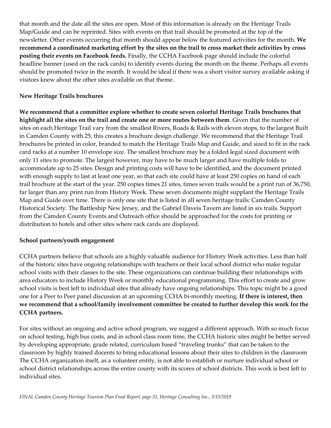that month and the date all the sites are open. Most of this information is already on the Heritage Trails Map/Guide and can be reprinted. Sites with events on that trail should be promoted at the top of the newsletter. Other events occurring that month should appear below the featured activities for the month. **We recommend a coordinated marketing effort by the sites on the trail to cross market their activities by cross posting their events on Facebook feeds.** Finally, the CCHA Facebook page should include the colorful headline banner (used on the rack cards) to identify events during the month on the theme. Perhaps all events should be promoted twice in the month. It would be ideal if there was a short visitor survey available asking if visitors knew about the other sites available on that theme.

#### **New Heritage Trails brochures**

**We recommend that a committee explore whether to create seven colorful Heritage Trails brochures that highlight all the sites on the trail and create one or more routes between them**. Given that the number of sites on each Heritage Trail vary from the smallest Rivers, Roads & Rails with eleven stops, to the largest Built in Camden County with 25, this creates a brochure design challenge. We recommend that the Heritage Trail brochures be printed in color, branded to match the Heritage Trails Map and Guide, and sized to fit in the rack card racks at a number 10 envelope size. The smallest brochure may be a folded legal sized document with only 11 sites to promote. The largest however, may have to be much larger and have multiple folds to accommodate up to 25 sites. Design and printing costs will have to be identified, and the document printed with enough supply to last at least one year, so that each site could have at least 250 copies on hand of each trail brochure at the start of the year. 250 copies times 21 sites, times seven trails would be a print run of 36,750, far larger than any print run from History Week. These seven documents might supplant the Heritage Trails Map and Guide over time. There is only one site that is listed in all seven heritage trails: Camden County Historical Society. The Battleship New Jersey, and the Gabriel Daveis Tavern are listed in six trails. Support from the Camden County Events and Outreach office should be approached for the costs for printing or distribution to hotels and other sites where rack cards are displayed.

#### **School partners/youth engagement**

CCHA partners believe that schools are a highly valuable audience for History Week activities. Less than half of the historic sites have ongoing relationships with teachers or their local school district who make regular school visits with their classes to the site. These organizations can continue building their relationships with area educators to include History Week or monthly educational programming. This effort to create and grow school visits is best left to individual sites that already have ongoing relationships. This topic might be a good one for a Peer to Peer panel discussion at an upcoming CCHA bi-monthly meeting. **If there is interest, then we recommend that a school/family involvement committee be created to further develop this work for the CCHA partners.** 

For sites without an ongoing and active school program, we suggest a different approach. With so much focus on school testing, high bus costs, and in school class room time, the CCHA historic sites might be better served by developing appropriate, grade related, curriculum based "traveling trunks" that can be taken to the classroom by highly trained docents to bring educational lessons about their sites to children in the classroom The CCHA organization itself, as a volunteer entity, is not able to establish or nurture individual school or school district relationships across the entire county with its scores of school districts. This work is best left to individual sites.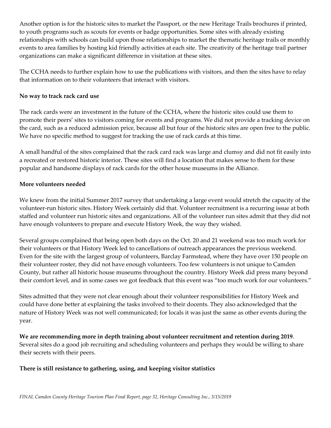Another option is for the historic sites to market the Passport, or the new Heritage Trails brochures if printed, to youth programs such as scouts for events or badge opportunities. Some sites with already existing relationships with schools can build upon those relationships to market the thematic heritage trails or monthly events to area families by hosting kid friendly activities at each site. The creativity of the heritage trail partner organizations can make a significant difference in visitation at these sites.

The CCHA needs to further explain how to use the publications with visitors, and then the sites have to relay that information on to their volunteers that interact with visitors.

#### **No way to track rack card use**

The rack cards were an investment in the future of the CCHA, where the historic sites could use them to promote their peers' sites to visitors coming for events and programs. We did not provide a tracking device on the card, such as a reduced admission price, because all but four of the historic sites are open free to the public. We have no specific method to suggest for tracking the use of rack cards at this time.

A small handful of the sites complained that the rack card rack was large and clumsy and did not fit easily into a recreated or restored historic interior. These sites will find a location that makes sense to them for these popular and handsome displays of rack cards for the other house museums in the Alliance.

#### **More volunteers needed**

We knew from the initial Summer 2017 survey that undertaking a large event would stretch the capacity of the volunteer-run historic sites. History Week certainly did that. Volunteer recruitment is a recurring issue at both staffed and volunteer run historic sites and organizations. All of the volunteer run sites admit that they did not have enough volunteers to prepare and execute History Week, the way they wished.

Several groups complained that being open both days on the Oct. 20 and 21 weekend was too much work for their volunteers or that History Week led to cancellations of outreach appearances the previous weekend. Even for the site with the largest group of volunteers, Barclay Farmstead, where they have over 150 people on their volunteer roster, they did not have enough volunteers. Too few volunteers is not unique to Camden County, but rather all historic house museums throughout the country. History Week did press many beyond their comfort level, and in some cases we got feedback that this event was "too much work for our volunteers."

Sites admitted that they were not clear enough about their volunteer responsibilities for History Week and could have done better at explaining the tasks involved to their docents. They also acknowledged that the nature of History Week was not well communicated; for locals it was just the same as other events during the year.

**We are recommending more in depth training about volunteer recruitment and retention during 2019**. Several sites do a good job recruiting and scheduling volunteers and perhaps they would be willing to share their secrets with their peers.

#### **There is still resistance to gathering, using, and keeping visitor statistics**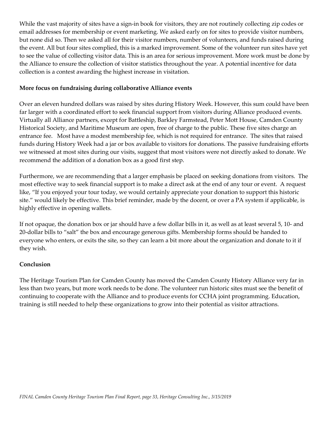While the vast majority of sites have a sign-in book for visitors, they are not routinely collecting zip codes or email addresses for membership or event marketing. We asked early on for sites to provide visitor numbers, but none did so. Then we asked all for their visitor numbers, number of volunteers, and funds raised during the event. All but four sites complied, this is a marked improvement. Some of the volunteer run sites have yet to see the value of collecting visitor data. This is an area for serious improvement. More work must be done by the Alliance to ensure the collection of visitor statistics throughout the year. A potential incentive for data collection is a contest awarding the highest increase in visitation.

#### **More focus on fundraising during collaborative Alliance events**

Over an eleven hundred dollars was raised by sites during History Week. However, this sum could have been far larger with a coordinated effort to seek financial support from visitors during Alliance produced events. Virtually all Alliance partners, except for Battleship, Barkley Farmstead, Peter Mott House, Camden County Historical Society, and Maritime Museum are open, free of charge to the public. These five sites charge an entrance fee. Most have a modest membership fee, which is not required for entrance. The sites that raised funds during History Week had a jar or box available to visitors for donations. The passive fundraising efforts we witnessed at most sites during our visits, suggest that most visitors were not directly asked to donate. We recommend the addition of a donation box as a good first step.

Furthermore, we are recommending that a larger emphasis be placed on seeking donations from visitors. The most effective way to seek financial support is to make a direct ask at the end of any tour or event. A request like, "If you enjoyed your tour today, we would certainly appreciate your donation to support this historic site." would likely be effective. This brief reminder, made by the docent, or over a PA system if applicable, is highly effective in opening wallets.

If not opaque, the donation box or jar should have a few dollar bills in it, as well as at least several 5, 10- and 20-dollar bills to "salt" the box and encourage generous gifts. Membership forms should be handed to everyone who enters, or exits the site, so they can learn a bit more about the organization and donate to it if they wish.

#### **Conclusion**

The Heritage Tourism Plan for Camden County has moved the Camden County History Alliance very far in less than two years, but more work needs to be done. The volunteer run historic sites must see the benefit of continuing to cooperate with the Alliance and to produce events for CCHA joint programming. Education, training is still needed to help these organizations to grow into their potential as visitor attractions.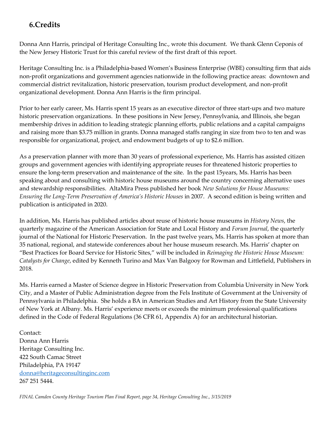# **6.Credits**

Donna Ann Harris, principal of Heritage Consulting Inc., wrote this document. We thank Glenn Ceponis of the New Jersey Historic Trust for this careful review of the first draft of this report.

Heritage Consulting Inc. is a Philadelphia-based Women's Business Enterprise (WBE) consulting firm that aids non-profit organizations and government agencies nationwide in the following practice areas: downtown and commercial district revitalization, historic preservation, tourism product development, and non-profit organizational development. Donna Ann Harris is the firm principal.

Prior to her early career, Ms. Harris spent 15 years as an executive director of three start-ups and two mature historic preservation organizations. In these positions in New Jersey, Pennsylvania, and Illinois, she began membership drives in addition to leading strategic planning efforts, public relations and a capital campaigns and raising more than \$3.75 million in grants. Donna managed staffs ranging in size from two to ten and was responsible for organizational, project, and endowment budgets of up to \$2.6 million.

As a preservation planner with more than 30 years of professional experience, Ms. Harris has assisted citizen groups and government agencies with identifying appropriate reuses for threatened historic properties to ensure the long-term preservation and maintenance of the site. In the past 15years, Ms. Harris has been speaking about and consulting with historic house museums around the country concerning alternative uses and stewardship responsibilities. AltaMira Press published her book *New Solutions for House Museums: Ensuring the Long-Term Preservation of America's Historic Houses* in 2007. A second edition is being written and publication is anticipated in 2020.

In addition, Ms. Harris has published articles about reuse of historic house museums in *History News*, the quarterly magazine of the American Association for State and Local History and *Forum Journal*, the quarterly journal of the National for Historic Preservation. In the past twelve years, Ms. Harris has spoken at more than 35 national, regional, and statewide conferences about her house museum research. Ms. Harris' chapter on "Best Practices for Board Service for Historic Sites," will be included in *Reimaging the Historic House Museum: Catalysts for Change*, edited by Kenneth Turino and Max Van Balgooy for Rowman and Littlefield, Publishers in 2018.

Ms. Harris earned a Master of Science degree in Historic Preservation from Columbia University in New York City, and a Master of Public Administration degree from the Fels Institute of Government at the University of Pennsylvania in Philadelphia. She holds a BA in American Studies and Art History from the State University of New York at Albany. Ms. Harris' experience meets or exceeds the minimum professional qualifications defined in the Code of Federal Regulations (36 CFR 61, Appendix A) for an architectural historian.

Contact: Donna Ann Harris Heritage Consulting Inc. 422 South Camac Street Philadelphia, PA 19147 [donna@heritageconsultinginc.com](mailto:donna@heritageconsultinginc.comc) 267 251 5444.